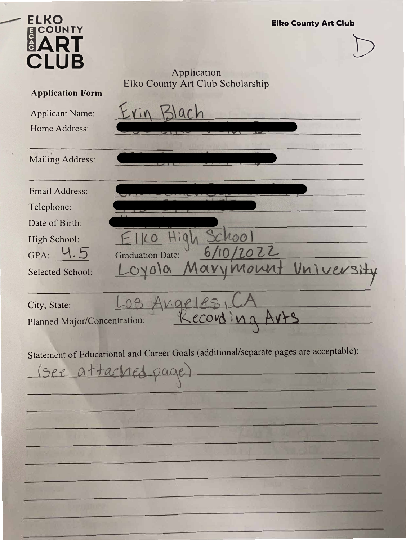| <b>ELKO</b><br><b>COUNTY</b><br>B<br><b>Application Form</b><br><b>Applicant Name:</b><br>Home Address:<br><b>Mailing Address:</b>                           | <b>Elko County Art Club</b><br>Application<br>Elko County Art Club Scholarship                               |
|--------------------------------------------------------------------------------------------------------------------------------------------------------------|--------------------------------------------------------------------------------------------------------------|
| <b>Email Address:</b><br>Telephone:<br>Date of Birth:<br>High School:<br>GPA: 4.5<br><b>Selected School:</b><br>City, State:<br>Planned Major/Concentration: | 2022<br>6,<br><b>Graduation Date:</b><br>evs.<br>198<br>Recording Arts                                       |
|                                                                                                                                                              | Statement of Educational and Career Goals (additional/separate pages are acceptable):<br>(see attached page) |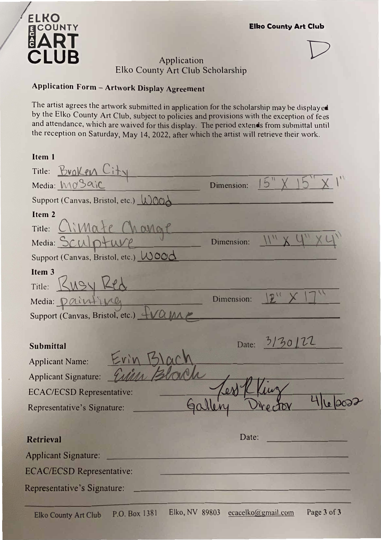## **ELKO** ECOUNTY **mART CLUB**

# $\Box$  Application points are  $\Box$ Elko County Art Club Scholarship

### **Application Form - Artwork Display Agreement**

The artist agrees the artwork submitted in application for the scholarship may be displayed by the Elko County Art Club, subject to policies and provisions with the exception of fees and attendance, which are waived for this display. The period extends from submittal until the reception on Saturday, May 14, 2022, after which the artist will retrieve their work.

#### **Item 1**

| Title: <u>Broken</u> C                                                                                                                       |                        |
|----------------------------------------------------------------------------------------------------------------------------------------------|------------------------|
| Media: MoSaic                                                                                                                                | 15"<br>Dimension:      |
| Support (Canvas, Bristol, etc.) WOOA                                                                                                         |                        |
| Item 2<br>range<br>Title:<br>Media: SCUD+<br>Support (Canvas, Bristol, etc.) Wood<br>Item <sub>3</sub>                                       | Dimension:             |
| KMSU<br>Title:<br>Media: <i>Qu</i> intive<br>Support (Canvas, Bristol, etc.) _                                                               | $2^{11}$<br>Dimension: |
| <b>Submittal</b><br><b>Applicant Name:</b><br><b>Applicant Signature:</b><br><b>ECAC/ECSD Representative:</b><br>Representative's Signature: | Date: 3/30/22          |
| <b>Retrieval</b><br><b>Applicant Signature:</b><br><b>ECAC/ECSD Representative:</b>                                                          | Date:                  |
| Representative's Signature:                                                                                                                  |                        |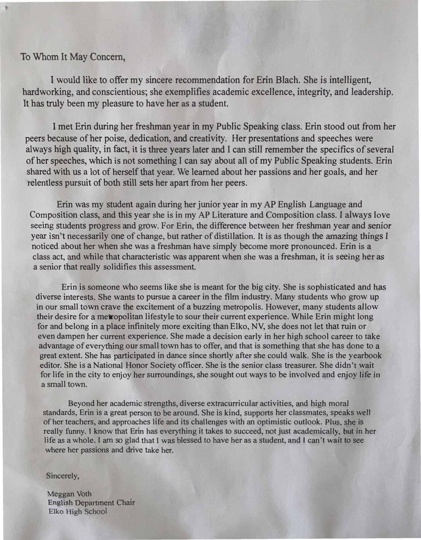### To Whom It May Concern,

I would like to offer my sincere recommendation for Erin Blach. She is intelligent, hardworking, and conscientious; she exemplifies academic excellence, integrity, and leadership. It has truly been my pleasure to have her as a student.

I met Erin during her freshman year in my Public Speaking class. Erin stood out from her peers because of her poise, dedication, and creativity. Her presentations and speeches were always high quality, in fact, it is three years later and I can still remember the specifics of several of her speeches, which is not something I can say about all of my Public Speaking students. Erin shared with us a lot of herself that year. We learned about her passions and her goals, and her relentless pursuit of both still sets her apart from her peers.

Erin was my student again during her junior year in my AP English Language and Composition class, and this year she is in my AP Literature and Composition class. I always love seeing students progress and grow. For Erin, the difference between her freshman year and *senior* year isn't necessarily one of change, but rather of distillation. It is as though the amazing things I noticed about her when she was a freshman have simply become more pronounced. Erin is a class act, and while that characteristic was apparent when she was a freshman, it is seeing her as a senior that really solidifies this assessment.

Erin is someone who seems like she is meant for the big city. She is sophisticated and has diverse interests. She wants to pursue a career in the film industry. Many students who grow up in our small town crave the excitement of a buzzing metropolis. However, many students allow their desire for a metropolitan lifestyle to sour their current experience. While Erin might long for and belong in a place infinitely more exciting than Elko, NV, she does not let that ruin or even dampen her current experience. She made a decision early in her high school career to take advantage of everything our small town has to offer, and that is something that she has done to a great extent. She has participated in dance since shortly after she could walk. She is the yearbook editor. She is a National Honor Society officer. She is the senior class treasurer. She didn't wait for life in the city to enjoy her surroundings, she sought out ways to be involved and enjoy life in a small town.

Beyond her academic strengths, diverse extracurricular activities, and high moral standards, Erin is a great person to be around. She is kind, supports her classmates, speaks *well* of her teachers, and approaches life and its challenges with an optimistic outlook. Plus. she is really funny. I know that Erin has everything it takes to succeed, not just academically, but in her life as a whole. I am so glad that I was blessed to have her as a student, and I can't wait to see where her passions and drive take her.

#### Sincerely,

Meggan Voth English Department Chair Elko High School